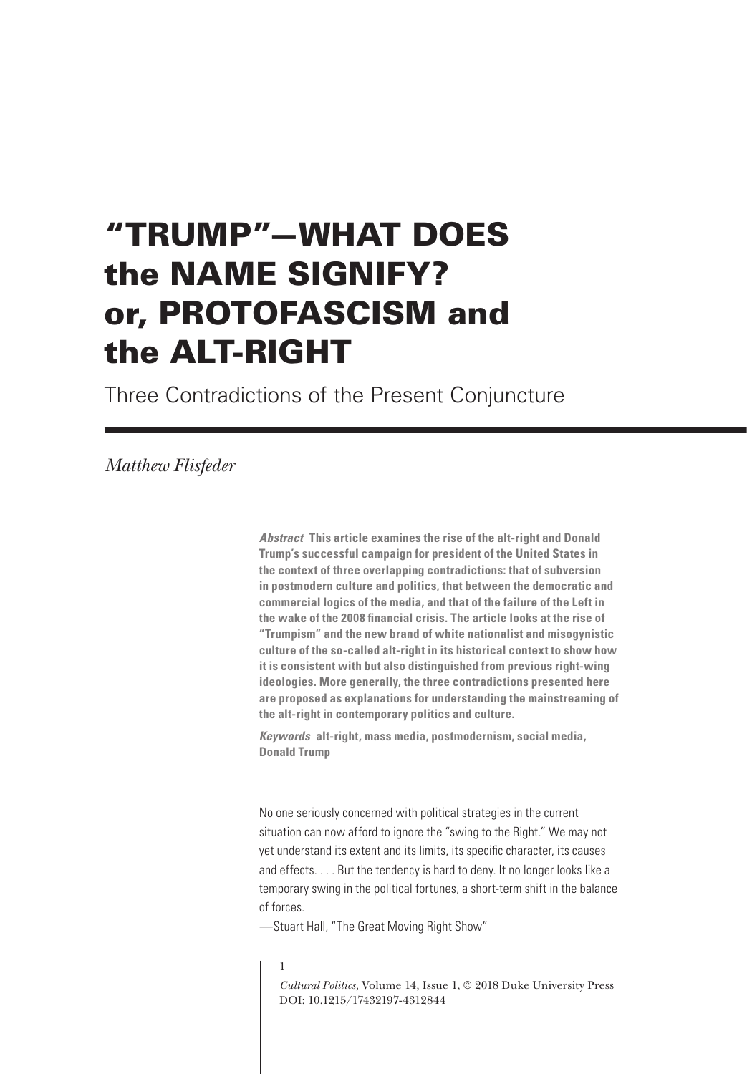# "TRUMP"—WHAT DOES the NAME SIGNIFY? or, PROTOFASCISM and the ALT-RIGHT

Three Contradictions of the Present Conjuncture

## *Matthew Flisfeder*

*Abstract* **This article examines the rise of the alt-right and Donald Trump's successful campaign for president of the United States in the context of three overlapping contradictions: that of subversion in postmodern culture and politics, that between the democratic and commercial logics of the media, and that of the failure of the Left in the wake of the 2008 fnancial crisis. The article looks at the rise of "Trumpism" and the new brand of white nationalist and misogynistic culture of the so-called alt-right in its historical context to show how it is consistent with but also distinguished from previous right-wing ideologies. More generally, the three contradictions presented here are proposed as explanations for understanding the mainstreaming of the alt-right in contemporary politics and culture.**

*Keywords* **alt-right, mass media, postmodernism, social media, Donald Trump**

No one seriously concerned with political strategies in the current situation can now afford to ignore the "swing to the Right." We may not yet understand its extent and its limits, its specifc character, its causes and effects. . . . But the tendency is hard to deny. It no longer looks like a temporary swing in the political fortunes, a short-term shift in the balance of forces.

—Stuart Hall, "The Great Moving Right Show"

#### 1

*Cultural Politics*, Volume 14, Issue 1, © 2018 Duke University Press DOI: 10.1215/17432197-4312844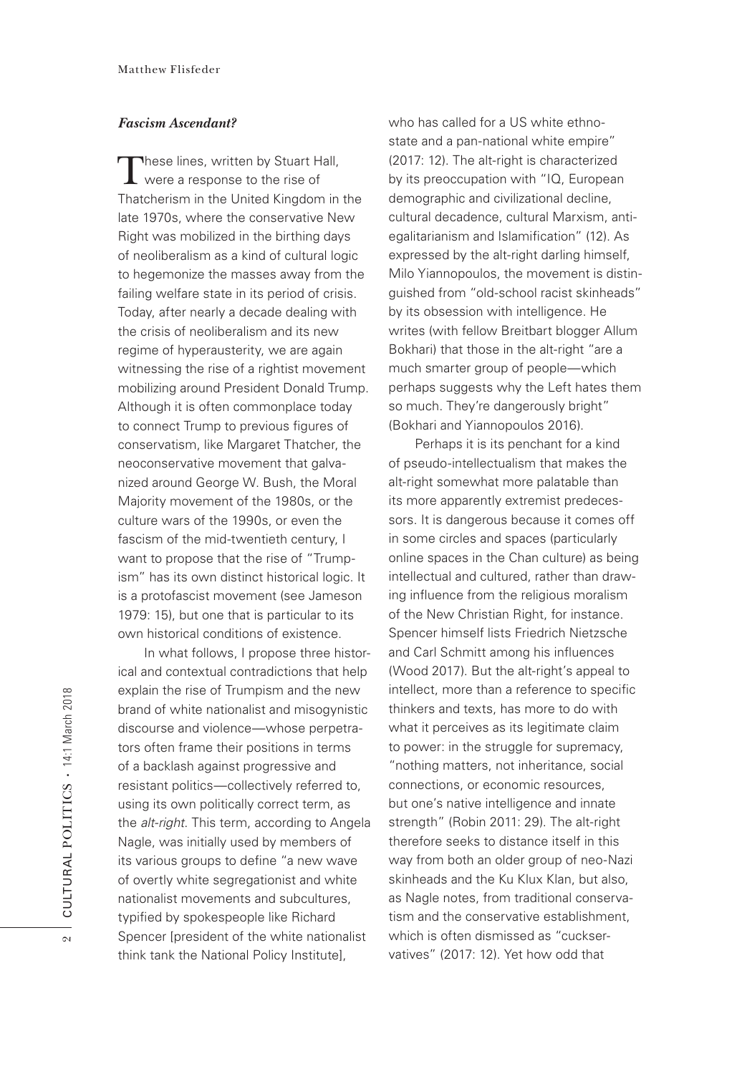#### *Fascism Ascendant?*

These lines, written by Stuart Hall, were a response to the rise of Thatcherism in the United Kingdom in the late 1970s, where the conservative New Right was mobilized in the birthing days of neoliberalism as a kind of cultural logic to hegemonize the masses away from the failing welfare state in its period of crisis. Today, after nearly a decade dealing with the crisis of neoliberalism and its new regime of hyperausterity, we are again witnessing the rise of a rightist movement mobilizing around President Donald Trump. Although it is often commonplace today to connect Trump to previous figures of conservatism, like Margaret Thatcher, the neoconservative movement that galvanized around George W. Bush, the Moral Majority movement of the 1980s, or the culture wars of the 1990s, or even the fascism of the mid-twentieth century, I want to propose that the rise of "Trumpism" has its own distinct historical logic. It is a protofascist movement (see Jameson 1979: 15), but one that is particular to its own historical conditions of existence.

In what follows, I propose three historical and contextual contradictions that help explain the rise of Trumpism and the new brand of white nationalist and misogynistic discourse and violence—whose perpetrators often frame their positions in terms of a backlash against progressive and resistant politics—collectively referred to, using its own politically correct term, as the *alt-right*. This term, according to Angela Nagle, was initially used by members of its various groups to defne "a new wave of overtly white segregationist and white nationalist movements and subcultures, typifed by spokespeople like Richard Spencer [president of the white nationalist think tank the National Policy Institute],

who has called for a US white ethnostate and a pan-national white empire" (2017: 12). The alt-right is characterized by its preoccupation with "IQ, European demographic and civilizational decline, cultural decadence, cultural Marxism, antiegalitarianism and Islamification" (12). As expressed by the alt-right darling himself, Milo Yiannopoulos, the movement is distinguished from "old-school racist skinheads" by its obsession with intelligence. He writes (with fellow Breitbart blogger Allum Bokhari) that those in the alt-right "are a much smarter group of people—which perhaps suggests why the Left hates them so much. They're dangerously bright" (Bokhari and Yiannopoulos 2016).

Perhaps it is its penchant for a kind of pseudo-intellectualism that makes the alt-right somewhat more palatable than its more apparently extremist predecessors. It is dangerous because it comes off in some circles and spaces (particularly online spaces in the Chan culture) as being intellectual and cultured, rather than drawing infuence from the religious moralism of the New Christian Right, for instance. Spencer himself lists Friedrich Nietzsche and Carl Schmitt among his infuences (Wood 2017). But the alt-right's appeal to intellect, more than a reference to specific thinkers and texts, has more to do with what it perceives as its legitimate claim to power: in the struggle for supremacy, "nothing matters, not inheritance, social connections, or economic resources, but one's native intelligence and innate strength" (Robin 2011: 29). The alt-right therefore seeks to distance itself in this way from both an older group of neo-Nazi skinheads and the Ku Klux Klan, but also, as Nagle notes, from traditional conservatism and the conservative establishment, which is often dismissed as "cuckservatives" (2017: 12). Yet how odd that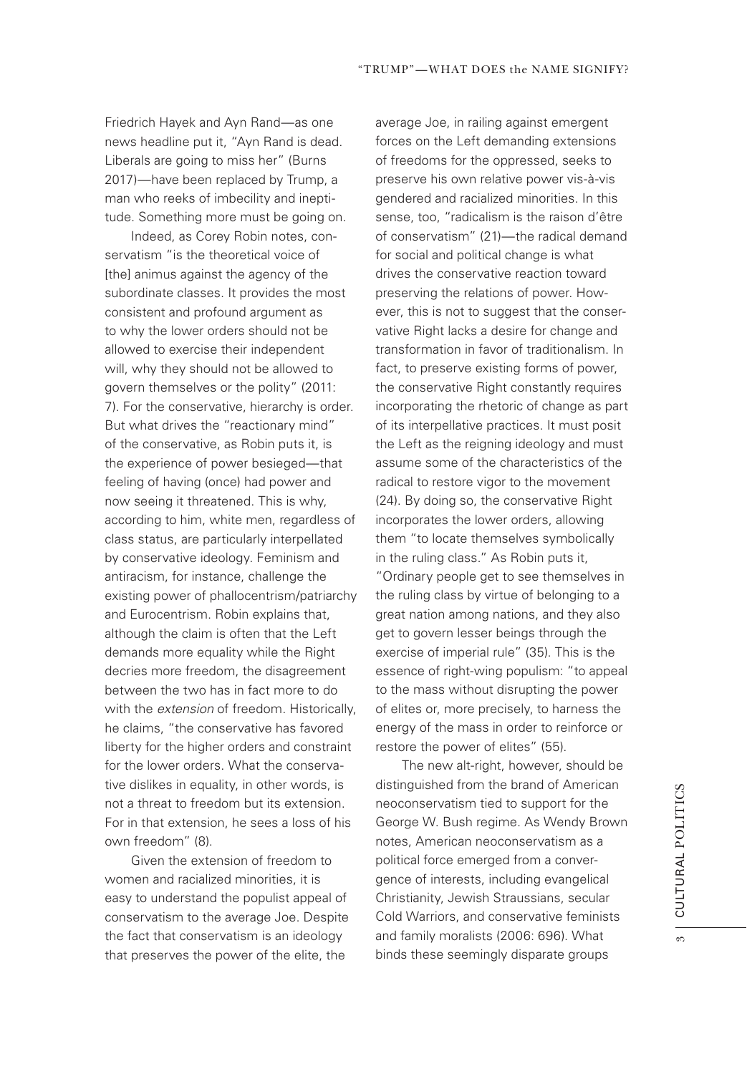Friedrich Hayek and Ayn Rand—as one news headline put it, "Ayn Rand is dead. Liberals are going to miss her" (Burns 2017)—have been replaced by Trump, a man who reeks of imbecility and ineptitude. Something more must be going on.

Indeed, as Corey Robin notes, conservatism "is the theoretical voice of [the] animus against the agency of the subordinate classes. It provides the most consistent and profound argument as to why the lower orders should not be allowed to exercise their independent will, why they should not be allowed to govern themselves or the polity" (2011: 7). For the conservative, hierarchy is order. But what drives the "reactionary mind" of the conservative, as Robin puts it, is the experience of power besieged—that feeling of having (once) had power and now seeing it threatened. This is why, according to him, white men, regardless of class status, are particularly interpellated by conservative ideology. Feminism and antiracism, for instance, challenge the existing power of phallocentrism/patriarchy and Eurocentrism. Robin explains that, although the claim is often that the Left demands more equality while the Right decries more freedom, the disagreement between the two has in fact more to do with the *extension* of freedom. Historically, he claims, "the conservative has favored liberty for the higher orders and constraint for the lower orders. What the conservative dislikes in equality, in other words, is not a threat to freedom but its extension. For in that extension, he sees a loss of his own freedom" (8).

Given the extension of freedom to women and racialized minorities, it is easy to understand the populist appeal of conservatism to the average Joe. Despite the fact that conservatism is an ideology that preserves the power of the elite, the

average Joe, in railing against emergent forces on the Left demanding extensions of freedoms for the oppressed, seeks to preserve his own relative power vis-à-vis gendered and racialized minorities. In this sense, too, "radicalism is the raison d'être of conservatism" (21)—the radical demand for social and political change is what drives the conservative reaction toward preserving the relations of power. However, this is not to suggest that the conservative Right lacks a desire for change and transformation in favor of traditionalism. In fact, to preserve existing forms of power, the conservative Right constantly requires incorporating the rhetoric of change as part of its interpellative practices. It must posit the Left as the reigning ideology and must assume some of the characteristics of the radical to restore vigor to the movement (24). By doing so, the conservative Right incorporates the lower orders, allowing them "to locate themselves symbolically in the ruling class." As Robin puts it, "Ordinary people get to see themselves in the ruling class by virtue of belonging to a great nation among nations, and they also get to govern lesser beings through the exercise of imperial rule" (35). This is the essence of right-wing populism: "to appeal to the mass without disrupting the power of elites or, more precisely, to harness the energy of the mass in order to reinforce or restore the power of elites" (55).

The new alt-right, however, should be distinguished from the brand of American neoconservatism tied to support for the George W. Bush regime. As Wendy Brown notes, American neoconservatism as a political force emerged from a convergence of interests, including evangelical Christianity, Jewish Straussians, secular Cold Warriors, and conservative feminists and family moralists (2006: 696). What binds these seemingly disparate groups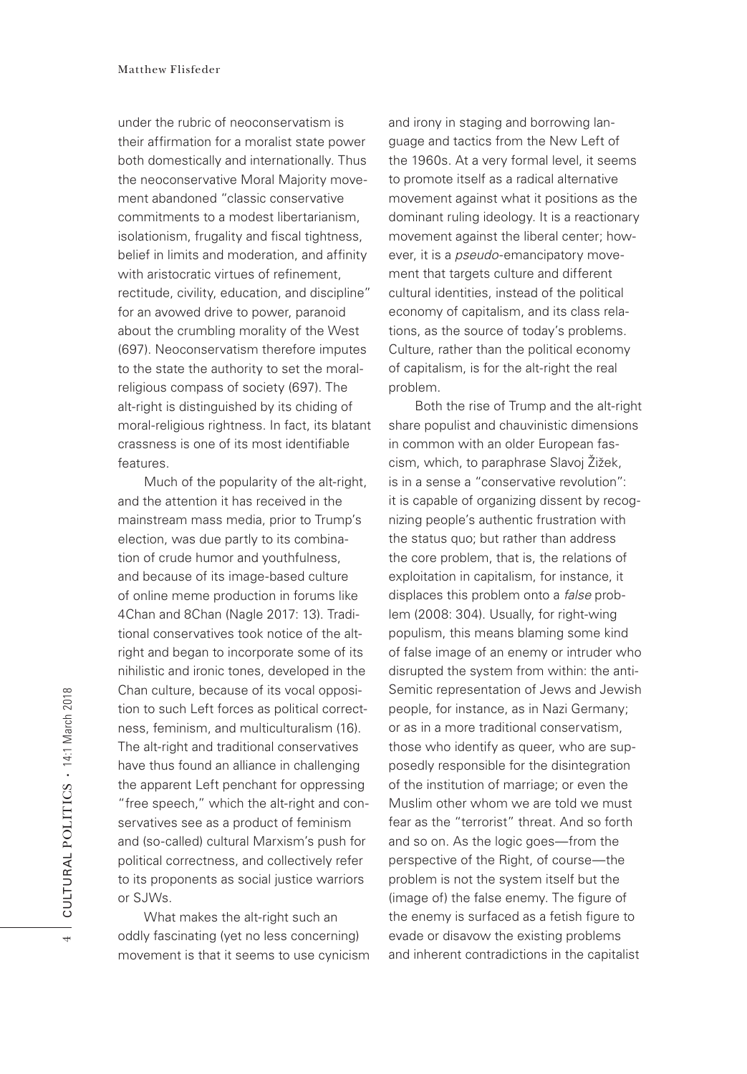under the rubric of neoconservatism is their affrmation for a moralist state power both domestically and internationally. Thus the neoconservative Moral Majority movement abandoned "classic conservative commitments to a modest libertarianism, isolationism, frugality and fiscal tightness, belief in limits and moderation, and affinity with aristocratic virtues of refnement, rectitude, civility, education, and discipline" for an avowed drive to power, paranoid about the crumbling morality of the West (697). Neoconservatism therefore imputes to the state the authority to set the moralreligious compass of society (697). The alt-right is distinguished by its chiding of moral-religious rightness. In fact, its blatant crassness is one of its most identifable features.

Much of the popularity of the alt-right, and the attention it has received in the mainstream mass media, prior to Trump's election, was due partly to its combination of crude humor and youthfulness, and because of its image-based culture of online meme production in forums like 4Chan and 8Chan (Nagle 2017: 13). Traditional conservatives took notice of the altright and began to incorporate some of its nihilistic and ironic tones, developed in the Chan culture, because of its vocal opposition to such Left forces as political correctness, feminism, and multiculturalism (16). The alt-right and traditional conservatives have thus found an alliance in challenging the apparent Left penchant for oppressing "free speech," which the alt-right and conservatives see as a product of feminism and (so-called) cultural Marxism's push for political correctness, and collectively refer to its proponents as social justice warriors or SJWs.

What makes the alt-right such an oddly fascinating (yet no less concerning) movement is that it seems to use cynicism and irony in staging and borrowing language and tactics from the New Left of the 1960s. At a very formal level, it seems to promote itself as a radical alternative movement against what it positions as the dominant ruling ideology. It is a reactionary movement against the liberal center; however, it is a *pseudo*-emancipatory movement that targets culture and different cultural identities, instead of the political economy of capitalism, and its class relations, as the source of today's problems. Culture, rather than the political economy of capitalism, is for the alt-right the real problem.

Both the rise of Trump and the alt-right share populist and chauvinistic dimensions in common with an older European fascism, which, to paraphrase Slavoj Žižek, is in a sense a "conservative revolution": it is capable of organizing dissent by recognizing people's authentic frustration with the status quo; but rather than address the core problem, that is, the relations of exploitation in capitalism, for instance, it displaces this problem onto a *false* problem (2008: 304). Usually, for right-wing populism, this means blaming some kind of false image of an enemy or intruder who disrupted the system from within: the anti-Semitic representation of Jews and Jewish people, for instance, as in Nazi Germany; or as in a more traditional conservatism, those who identify as queer, who are supposedly responsible for the disintegration of the institution of marriage; or even the Muslim other whom we are told we must fear as the "terrorist" threat. And so forth and so on. As the logic goes—from the perspective of the Right, of course—the problem is not the system itself but the (image of) the false enemy. The figure of the enemy is surfaced as a fetish figure to evade or disavow the existing problems and inherent contradictions in the capitalist

4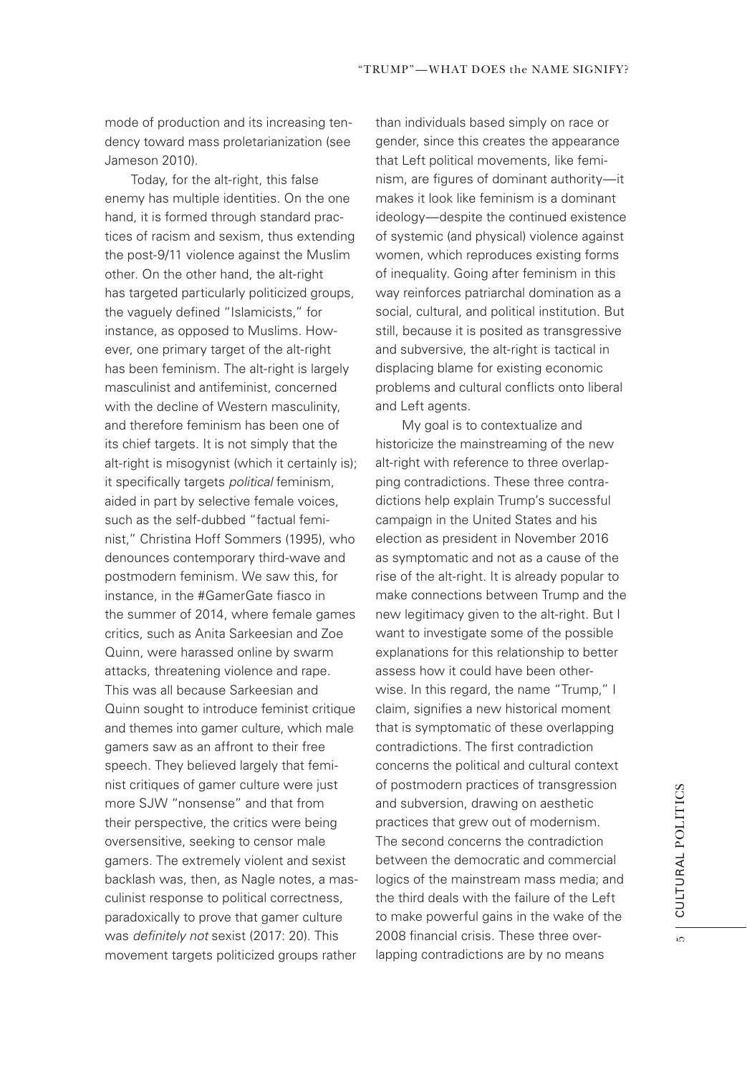mode of production and its increasing tendency toward mass proletarianization (see Jameson 2010).

Today, for the alt-right, this false enemy has multiple identities. On the one hand, it is formed through standard practices of racism and sexism, thus extending the post-9/11 violence against the Muslim other. On the other hand, the alt-right has targeted particularly politicized groups, the vaguely defned "Islamicists," for instance, as opposed to Muslims. However, one primary target of the alt-right has been feminism. The alt-right is largely masculinist and antifeminist, concerned with the decline of Western masculinity, and therefore feminism has been one of its chief targets. It is not simply that the alt-right is misogynist (which it certainly is); it specifically targets *political* feminism, aided in part by selective female voices, such as the self-dubbed "factual feminist," Christina Hoff Sommers (1995), who denounces contemporary third-wave and postmodern feminism. We saw this, for instance, in the #GamerGate fasco in the summer of 2014, where female games critics, such as Anita Sarkeesian and Zoe Quinn, were harassed online by swarm attacks, threatening violence and rape. This was all because Sarkeesian and Quinn sought to introduce feminist critique and themes into gamer culture, which male gamers saw as an affront to their free speech. They believed largely that feminist critiques of gamer culture were just more SJW "nonsense" and that from their perspective, the critics were being oversensitive, seeking to censor male gamers. The extremely violent and sexist backlash was, then, as Nagle notes, a masculinist response to political correctness, paradoxically to prove that gamer culture was *de*f*nitely not* sexist (2017: 20). This movement targets politicized groups rather

than individuals based simply on race or gender, since this creates the appearance that Left political movements, like feminism, are figures of dominant authority-it makes it look like feminism is a dominant ideology—despite the continued existence of systemic (and physical) violence against women, which reproduces existing forms of inequality. Going after feminism in this way reinforces patriarchal domination as a social, cultural, and political institution. But still, because it is posited as transgressive and subversive, the alt-right is tactical in displacing blame for existing economic problems and cultural conficts onto liberal and Left agents.

My goal is to contextualize and historicize the mainstreaming of the new alt-right with reference to three overlapping contradictions. These three contradictions help explain Trump's successful campaign in the United States and his election as president in November 2016 as symptomatic and not as a cause of the rise of the alt-right. It is already popular to make connections between Trump and the new legitimacy given to the alt-right. But I want to investigate some of the possible explanations for this relationship to better assess how it could have been otherwise. In this regard, the name "Trump," I claim, signifes a new historical moment that is symptomatic of these overlapping contradictions. The first contradiction concerns the political and cultural context of postmodern practices of transgression and subversion, drawing on aesthetic practices that grew out of modernism. The second concerns the contradiction between the democratic and commercial logics of the mainstream mass media; and the third deals with the failure of the Left to make powerful gains in the wake of the 2008 fnancial crisis. These three overlapping contradictions are by no means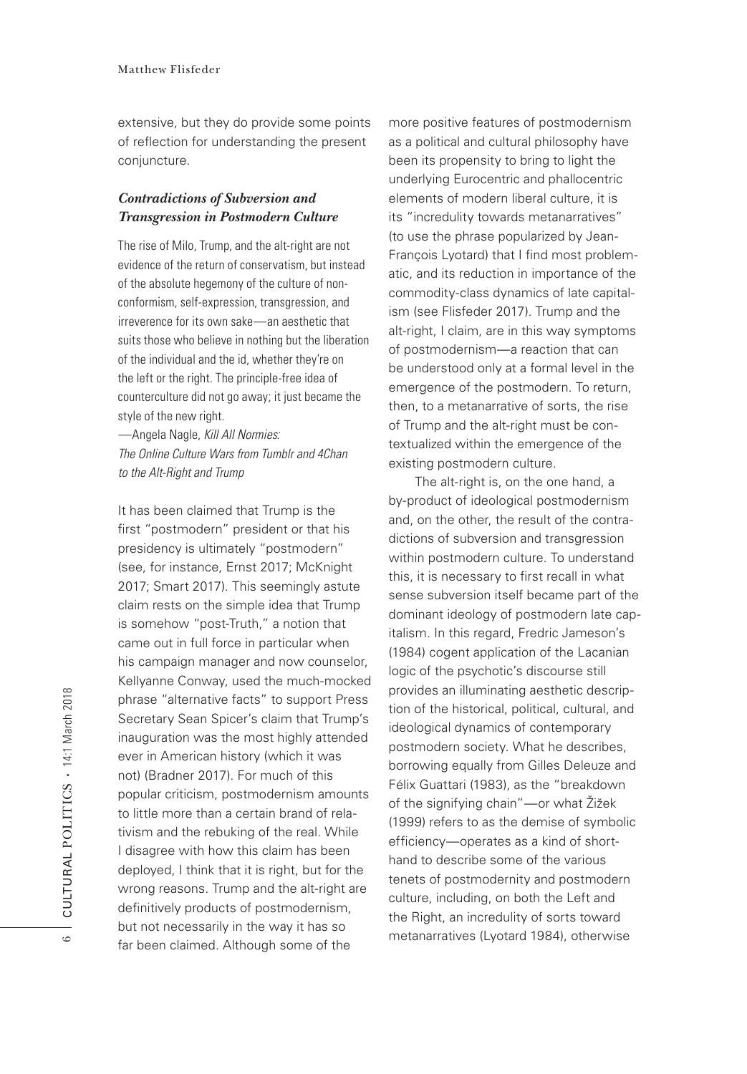extensive, but they do provide some points of reflection for understanding the present conjuncture.

### *Contradictions of Subversion and Transgression in Postmodern Culture*

The rise of Milo, Trump, and the alt-right are not evidence of the return of conservatism, but instead of the absolute hegemony of the culture of nonconformism, self-expression, transgression, and irreverence for its own sake—an aesthetic that suits those who believe in nothing but the liberation of the individual and the id, whether they're on the left or the right. The principle-free idea of counterculture did not go away; it just became the style of the new right.

—Angela Nagle, *Kill All Normies: The Online Culture Wars from Tumblr and 4Chan to the Alt-Right and Trump*

It has been claimed that Trump is the first "postmodern" president or that his presidency is ultimately "postmodern" (see, for instance, Ernst 2017; McKnight 2017; Smart 2017). This seemingly astute claim rests on the simple idea that Trump is somehow "post-Truth," a notion that came out in full force in particular when his campaign manager and now counselor, Kellyanne Conway, used the much-mocked phrase "alternative facts" to support Press Secretary Sean Spicer's claim that Trump's inauguration was the most highly attended ever in American history (which it was not) (Bradner 2017). For much of this popular criticism, postmodernism amounts to little more than a certain brand of relativism and the rebuking of the real. While I disagree with how this claim has been deployed, I think that it is right, but for the wrong reasons. Trump and the alt-right are definitively products of postmodernism, but not necessarily in the way it has so far been claimed. Although some of the

more positive features of postmodernism as a political and cultural philosophy have been its propensity to bring to light the underlying Eurocentric and phallocentric elements of modern liberal culture, it is its "incredulity towards metanarratives" (to use the phrase popularized by Jean-François Lyotard) that I find most problematic, and its reduction in importance of the commodity-class dynamics of late capitalism (see Flisfeder 2017). Trump and the alt-right, I claim, are in this way symptoms of postmodernism—a reaction that can be understood only at a formal level in the emergence of the postmodern. To return, then, to a metanarrative of sorts, the rise of Trump and the alt-right must be contextualized within the emergence of the existing postmodern culture.

The alt-right is, on the one hand, a by-product of ideological postmodernism and, on the other, the result of the contradictions of subversion and transgression within postmodern culture. To understand this, it is necessary to first recall in what sense subversion itself became part of the dominant ideology of postmodern late capitalism. In this regard, Fredric Jameson's (1984) cogent application of the Lacanian logic of the psychotic's discourse still provides an illuminating aesthetic description of the historical, political, cultural, and ideological dynamics of contemporary postmodern society. What he describes, borrowing equally from Gilles Deleuze and Félix Guattari (1983), as the "breakdown of the signifying chain"—or what Žižek (1999) refers to as the demise of symbolic efficiency—operates as a kind of shorthand to describe some of the various tenets of postmodernity and postmodern culture, including, on both the Left and the Right, an incredulity of sorts toward metanarratives (Lyotard 1984), otherwise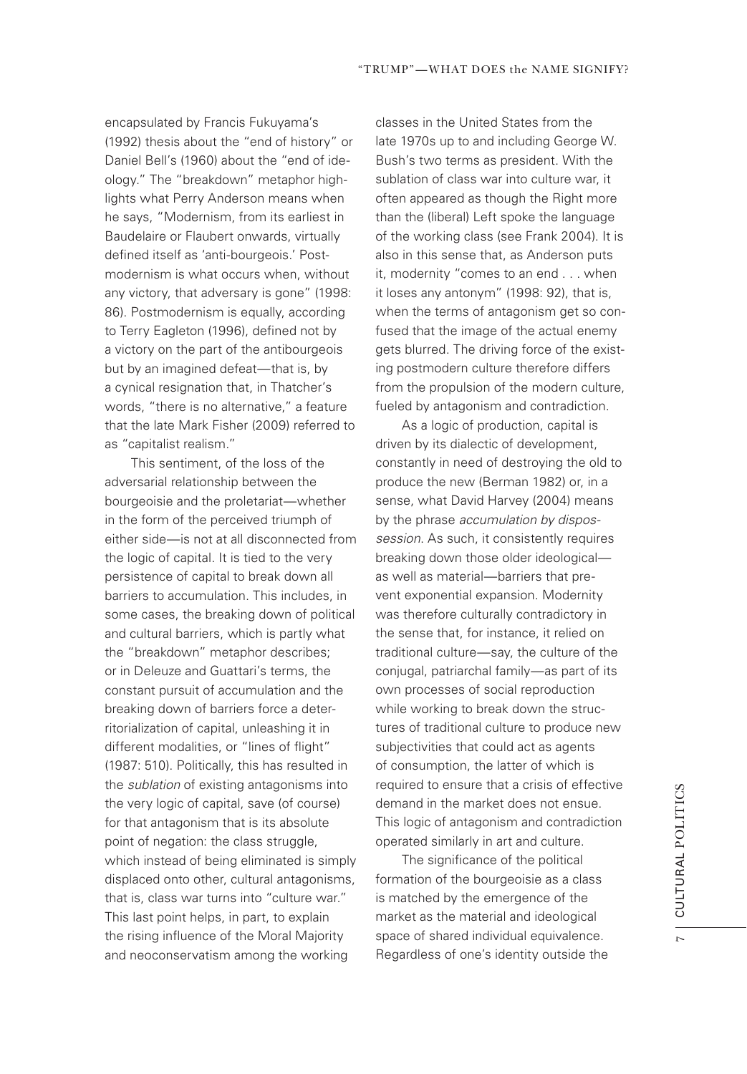encapsulated by Francis Fukuyama's (1992) thesis about the "end of history" or Daniel Bell's (1960) about the "end of ideology." The "breakdown" metaphor highlights what Perry Anderson means when he says, "Modernism, from its earliest in Baudelaire or Flaubert onwards, virtually defned itself as 'anti-bourgeois.' Postmodernism is what occurs when, without any victory, that adversary is gone" (1998: 86). Postmodernism is equally, according to Terry Eagleton (1996), defined not by a victory on the part of the antibourgeois but by an imagined defeat—that is, by a cynical resignation that, in Thatcher's words, "there is no alternative," a feature that the late Mark Fisher (2009) referred to as "capitalist realism."

This sentiment, of the loss of the adversarial relationship between the bourgeoisie and the proletariat—whether in the form of the perceived triumph of either side—is not at all disconnected from the logic of capital. It is tied to the very persistence of capital to break down all barriers to accumulation. This includes, in some cases, the breaking down of political and cultural barriers, which is partly what the "breakdown" metaphor describes; or in Deleuze and Guattari's terms, the constant pursuit of accumulation and the breaking down of barriers force a deterritorialization of capital, unleashing it in different modalities, or "lines of fight" (1987: 510). Politically, this has resulted in the *sublation* of existing antagonisms into the very logic of capital, save (of course) for that antagonism that is its absolute point of negation: the class struggle, which instead of being eliminated is simply displaced onto other, cultural antagonisms, that is, class war turns into "culture war." This last point helps, in part, to explain the rising infuence of the Moral Majority and neoconservatism among the working

classes in the United States from the late 1970s up to and including George W. Bush's two terms as president. With the sublation of class war into culture war, it often appeared as though the Right more than the (liberal) Left spoke the language of the working class (see Frank 2004). It is also in this sense that, as Anderson puts it, modernity "comes to an end . . . when it loses any antonym" (1998: 92), that is, when the terms of antagonism get so confused that the image of the actual enemy gets blurred. The driving force of the existing postmodern culture therefore differs from the propulsion of the modern culture, fueled by antagonism and contradiction.

As a logic of production, capital is driven by its dialectic of development, constantly in need of destroying the old to produce the new (Berman 1982) or, in a sense, what David Harvey (2004) means by the phrase *accumulation by dispossession*. As such, it consistently requires breaking down those older ideological as well as material—barriers that prevent exponential expansion. Modernity was therefore culturally contradictory in the sense that, for instance, it relied on traditional culture—say, the culture of the conjugal, patriarchal family—as part of its own processes of social reproduction while working to break down the structures of traditional culture to produce new subjectivities that could act as agents of consumption, the latter of which is required to ensure that a crisis of effective demand in the market does not ensue. This logic of antagonism and contradiction operated similarly in art and culture.

The significance of the political formation of the bourgeoisie as a class is matched by the emergence of the market as the material and ideological space of shared individual equivalence. Regardless of one's identity outside the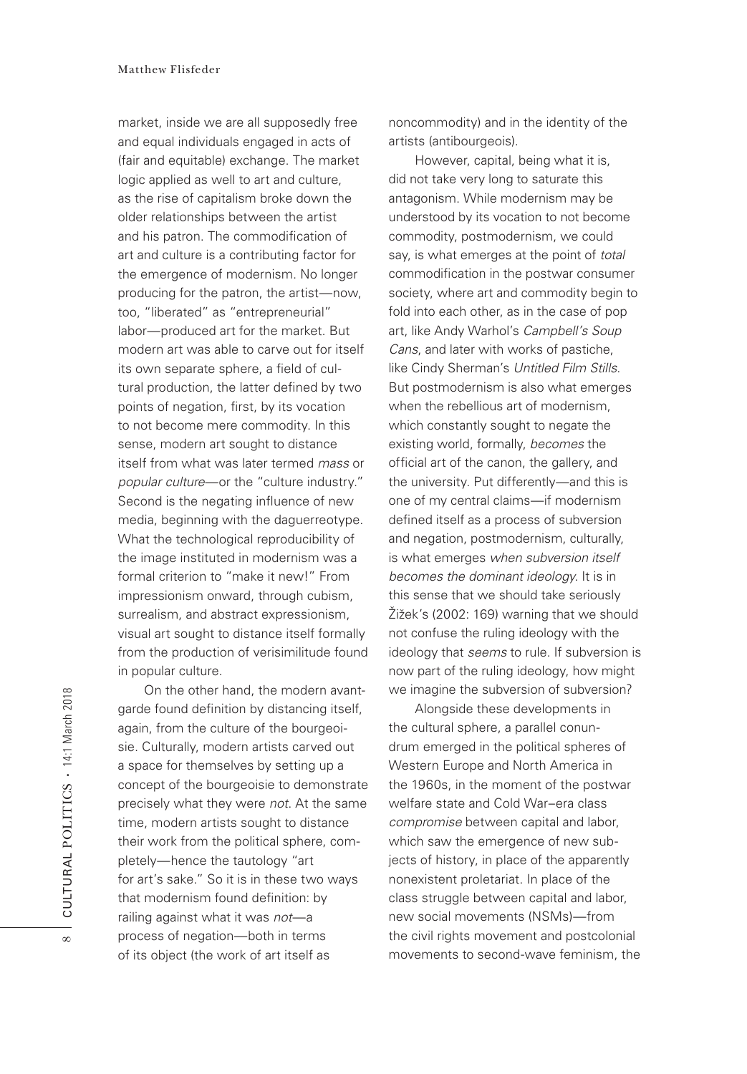market, inside we are all supposedly free and equal individuals engaged in acts of (fair and equitable) exchange. The market logic applied as well to art and culture, as the rise of capitalism broke down the older relationships between the artist and his patron. The commodification of art and culture is a contributing factor for the emergence of modernism. No longer producing for the patron, the artist—now, too, "liberated" as "entrepreneurial" labor—produced art for the market. But modern art was able to carve out for itself its own separate sphere, a field of cultural production, the latter defned by two points of negation, first, by its vocation to not become mere commodity. In this sense, modern art sought to distance itself from what was later termed *mass* or *popular culture*—or the "culture industry." Second is the negating infuence of new media, beginning with the daguerreotype. What the technological reproducibility of the image instituted in modernism was a formal criterion to "make it new!" From impressionism onward, through cubism, surrealism, and abstract expressionism, visual art sought to distance itself formally from the production of verisimilitude found in popular culture.

On the other hand, the modern avantgarde found defnition by distancing itself, again, from the culture of the bourgeoisie. Culturally, modern artists carved out a space for themselves by setting up a concept of the bourgeoisie to demonstrate precisely what they were *not*. At the same time, modern artists sought to distance their work from the political sphere, completely—hence the tautology "art for art's sake." So it is in these two ways that modernism found definition: by railing against what it was *not*—a process of negation—both in terms of its object (the work of art itself as

noncommodity) and in the identity of the artists (antibourgeois).

However, capital, being what it is, did not take very long to saturate this antagonism. While modernism may be understood by its vocation to not become commodity, postmodernism, we could say, is what emerges at the point of *total* commodification in the postwar consumer society, where art and commodity begin to fold into each other, as in the case of pop art, like Andy Warhol's *Campbell's Soup Cans*, and later with works of pastiche, like Cindy Sherman's *Untitled Film Stills*. But postmodernism is also what emerges when the rebellious art of modernism, which constantly sought to negate the existing world, formally, *becomes* the official art of the canon, the gallery, and the university. Put differently—and this is one of my central claims—if modernism defined itself as a process of subversion and negation, postmodernism, culturally, is what emerges *when subversion itself becomes the dominant ideology*. It is in this sense that we should take seriously Žižek's (2002: 169) warning that we should not confuse the ruling ideology with the ideology that *seems* to rule. If subversion is now part of the ruling ideology, how might we imagine the subversion of subversion?

Alongside these developments in the cultural sphere, a parallel conundrum emerged in the political spheres of Western Europe and North America in the 1960s, in the moment of the postwar welfare state and Cold War–era class *compromise* between capital and labor, which saw the emergence of new subjects of history, in place of the apparently nonexistent proletariat. In place of the class struggle between capital and labor, new social movements (NSMs)—from the civil rights movement and postcolonial movements to second-wave feminism, the

 $^{\infty}$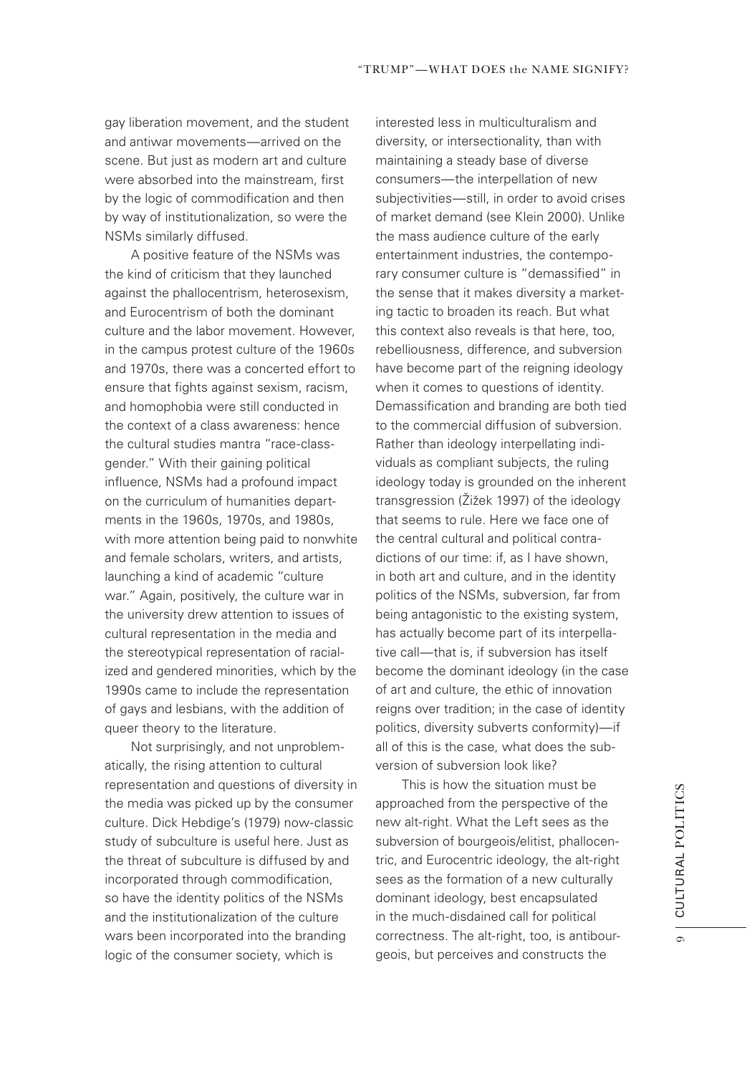gay liberation movement, and the student and antiwar movements—arrived on the scene. But just as modern art and culture were absorbed into the mainstream, first by the logic of commodification and then by way of institutionalization, so were the NSMs similarly diffused.

A positive feature of the NSMs was the kind of criticism that they launched against the phallocentrism, heterosexism, and Eurocentrism of both the dominant culture and the labor movement. However, in the campus protest culture of the 1960s and 1970s, there was a concerted effort to ensure that fights against sexism, racism, and homophobia were still conducted in the context of a class awareness: hence the cultural studies mantra "race-classgender." With their gaining political infuence, NSMs had a profound impact on the curriculum of humanities departments in the 1960s, 1970s, and 1980s, with more attention being paid to nonwhite and female scholars, writers, and artists, launching a kind of academic "culture war." Again, positively, the culture war in the university drew attention to issues of cultural representation in the media and the stereotypical representation of racialized and gendered minorities, which by the 1990s came to include the representation of gays and lesbians, with the addition of queer theory to the literature.

Not surprisingly, and not unproblematically, the rising attention to cultural representation and questions of diversity in the media was picked up by the consumer culture. Dick Hebdige's (1979) now-classic study of subculture is useful here. Just as the threat of subculture is diffused by and incorporated through commodification, so have the identity politics of the NSMs and the institutionalization of the culture wars been incorporated into the branding logic of the consumer society, which is

interested less in multiculturalism and diversity, or intersectionality, than with maintaining a steady base of diverse consumers—the interpellation of new subjectivities—still, in order to avoid crises of market demand (see Klein 2000). Unlike the mass audience culture of the early entertainment industries, the contemporary consumer culture is "demassifed" in the sense that it makes diversity a marketing tactic to broaden its reach. But what this context also reveals is that here, too, rebelliousness, difference, and subversion have become part of the reigning ideology when it comes to questions of identity. Demassifcation and branding are both tied to the commercial diffusion of subversion. Rather than ideology interpellating individuals as compliant subjects, the ruling ideology today is grounded on the inherent transgression (Žižek 1997) of the ideology that seems to rule. Here we face one of the central cultural and political contradictions of our time: if, as I have shown, in both art and culture, and in the identity politics of the NSMs, subversion, far from being antagonistic to the existing system, has actually become part of its interpellative call—that is, if subversion has itself become the dominant ideology (in the case of art and culture, the ethic of innovation reigns over tradition; in the case of identity politics, diversity subverts conformity)—if all of this is the case, what does the subversion of subversion look like?

This is how the situation must be approached from the perspective of the new alt-right. What the Left sees as the subversion of bourgeois/elitist, phallocentric, and Eurocentric ideology, the alt-right sees as the formation of a new culturally dominant ideology, best encapsulated in the much-disdained call for political correctness. The alt-right, too, is antibourgeois, but perceives and constructs the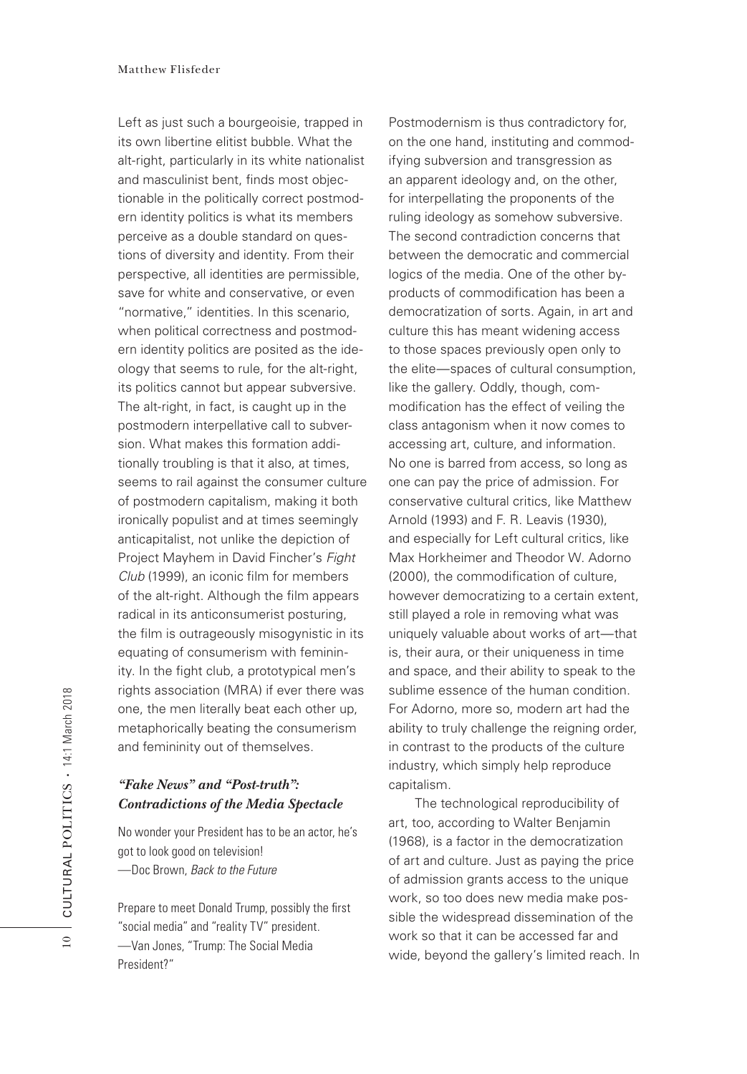Left as just such a bourgeoisie, trapped in its own libertine elitist bubble. What the alt-right, particularly in its white nationalist and masculinist bent, finds most objectionable in the politically correct postmodern identity politics is what its members perceive as a double standard on questions of diversity and identity. From their perspective, all identities are permissible, save for white and conservative, or even "normative," identities. In this scenario, when political correctness and postmodern identity politics are posited as the ideology that seems to rule, for the alt-right, its politics cannot but appear subversive. The alt-right, in fact, is caught up in the postmodern interpellative call to subversion. What makes this formation additionally troubling is that it also, at times, seems to rail against the consumer culture of postmodern capitalism, making it both ironically populist and at times seemingly anticapitalist, not unlike the depiction of Project Mayhem in David Fincher's *Fight Club* (1999), an iconic flm for members of the alt-right. Although the film appears radical in its anticonsumerist posturing, the film is outrageously misogynistic in its equating of consumerism with femininity. In the fight club, a prototypical men's rights association (MRA) if ever there was one, the men literally beat each other up, metaphorically beating the consumerism and femininity out of themselves.

## *"Fake News" and "Post-truth": Contradictions of the Media Spectacle*

No wonder your President has to be an actor, he's got to look good on television! —Doc Brown, *Back to the Future*

Prepare to meet Donald Trump, possibly the frst "social media" and "reality TV" president. —Van Jones, "Trump: The Social Media President?"

Postmodernism is thus contradictory for, on the one hand, instituting and commodifying subversion and transgression as an apparent ideology and, on the other, for interpellating the proponents of the ruling ideology as somehow subversive. The second contradiction concerns that between the democratic and commercial logics of the media. One of the other byproducts of commodification has been a democratization of sorts. Again, in art and culture this has meant widening access to those spaces previously open only to the elite—spaces of cultural consumption, like the gallery. Oddly, though, commodifcation has the effect of veiling the class antagonism when it now comes to accessing art, culture, and information. No one is barred from access, so long as one can pay the price of admission. For conservative cultural critics, like Matthew Arnold (1993) and F. R. Leavis (1930), and especially for Left cultural critics, like Max Horkheimer and Theodor W. Adorno (2000), the commodification of culture, however democratizing to a certain extent, still played a role in removing what was uniquely valuable about works of art—that is, their aura, or their uniqueness in time and space, and their ability to speak to the sublime essence of the human condition. For Adorno, more so, modern art had the ability to truly challenge the reigning order, in contrast to the products of the culture industry, which simply help reproduce capitalism.

The technological reproducibility of art, too, according to Walter Benjamin (1968), is a factor in the democratization of art and culture. Just as paying the price of admission grants access to the unique work, so too does new media make possible the widespread dissemination of the work so that it can be accessed far and wide, beyond the gallery's limited reach. In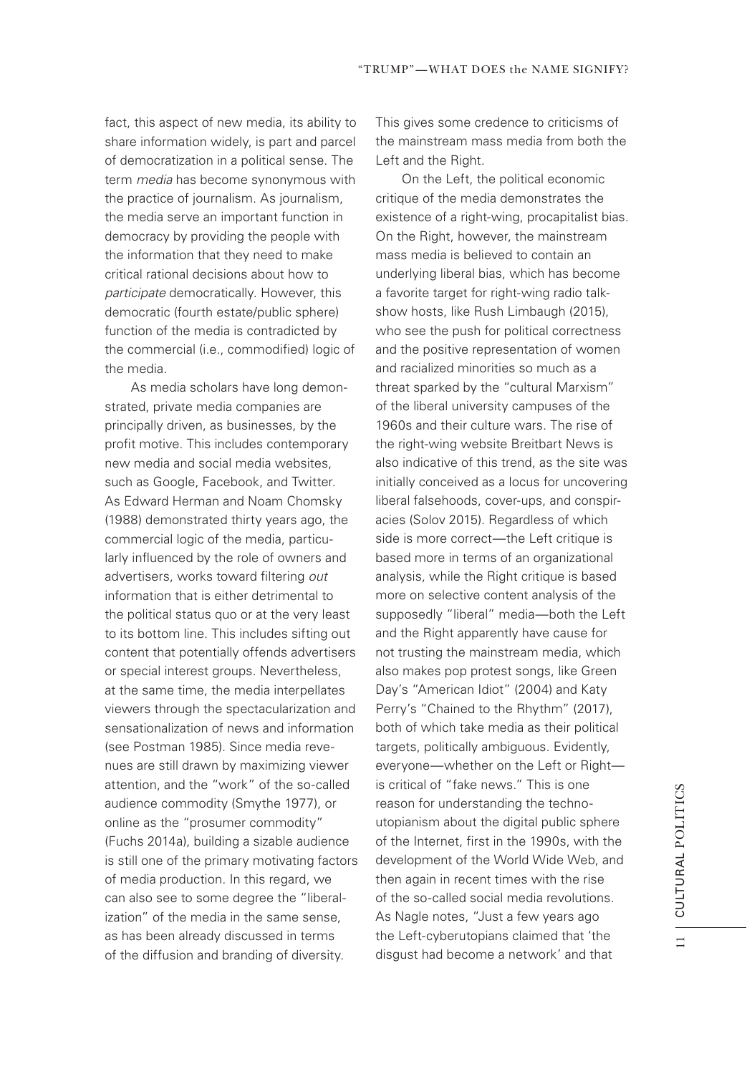fact, this aspect of new media, its ability to share information widely, is part and parcel of democratization in a political sense. The term *media* has become synonymous with the practice of journalism. As journalism, the media serve an important function in democracy by providing the people with the information that they need to make critical rational decisions about how to *participate* democratically. However, this democratic (fourth estate/public sphere) function of the media is contradicted by the commercial (i.e., commodified) logic of the media.

As media scholars have long demonstrated, private media companies are principally driven, as businesses, by the profit motive. This includes contemporary new media and social media websites, such as Google, Facebook, and Twitter. As Edward Herman and Noam Chomsky (1988) demonstrated thirty years ago, the commercial logic of the media, particularly infuenced by the role of owners and advertisers, works toward fltering *out* information that is either detrimental to the political status quo or at the very least to its bottom line. This includes sifting out content that potentially offends advertisers or special interest groups. Nevertheless, at the same time, the media interpellates viewers through the spectacularization and sensationalization of news and information (see Postman 1985). Since media revenues are still drawn by maximizing viewer attention, and the "work" of the so-called audience commodity (Smythe 1977), or online as the "prosumer commodity" (Fuchs 2014a), building a sizable audience is still one of the primary motivating factors of media production. In this regard, we can also see to some degree the "liberalization" of the media in the same sense, as has been already discussed in terms of the diffusion and branding of diversity.

This gives some credence to criticisms of the mainstream mass media from both the Left and the Right.

On the Left, the political economic critique of the media demonstrates the existence of a right-wing, procapitalist bias. On the Right, however, the mainstream mass media is believed to contain an underlying liberal bias, which has become a favorite target for right-wing radio talkshow hosts, like Rush Limbaugh (2015), who see the push for political correctness and the positive representation of women and racialized minorities so much as a threat sparked by the "cultural Marxism" of the liberal university campuses of the 1960s and their culture wars. The rise of the right-wing website Breitbart News is also indicative of this trend, as the site was initially conceived as a locus for uncovering liberal falsehoods, cover-ups, and conspiracies (Solov 2015). Regardless of which side is more correct—the Left critique is based more in terms of an organizational analysis, while the Right critique is based more on selective content analysis of the supposedly "liberal" media—both the Left and the Right apparently have cause for not trusting the mainstream media, which also makes pop protest songs, like Green Day's "American Idiot" (2004) and Katy Perry's "Chained to the Rhythm" (2017), both of which take media as their political targets, politically ambiguous. Evidently, everyone—whether on the Left or Right is critical of "fake news." This is one reason for understanding the technoutopianism about the digital public sphere of the Internet, first in the 1990s, with the development of the World Wide Web, and then again in recent times with the rise of the so-called social media revolutions. As Nagle notes, "Just a few years ago the Left-cyberutopians claimed that 'the disgust had become a network' and that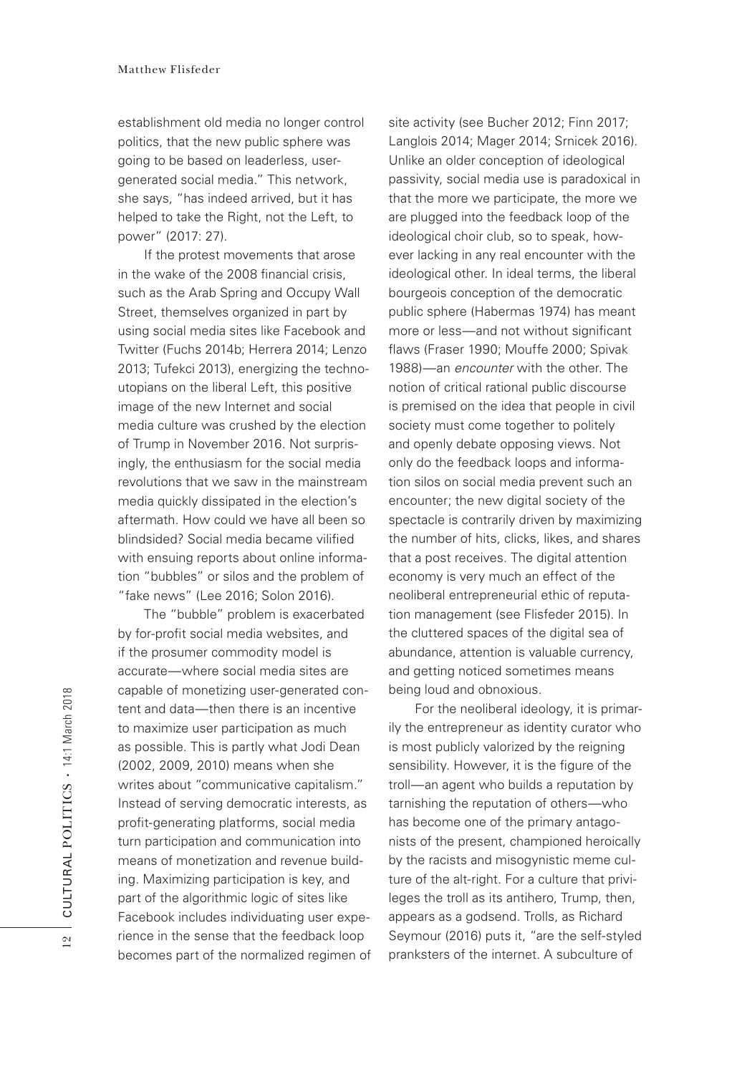establishment old media no longer control politics, that the new public sphere was going to be based on leaderless, usergenerated social media." This network, she says, "has indeed arrived, but it has helped to take the Right, not the Left, to power" (2017: 27).

If the protest movements that arose in the wake of the 2008 fnancial crisis, such as the Arab Spring and Occupy Wall Street, themselves organized in part by using social media sites like Facebook and Twitter (Fuchs 2014b; Herrera 2014; Lenzo 2013; Tufekci 2013), energizing the technoutopians on the liberal Left, this positive image of the new Internet and social media culture was crushed by the election of Trump in November 2016. Not surprisingly, the enthusiasm for the social media revolutions that we saw in the mainstream media quickly dissipated in the election's aftermath. How could we have all been so blindsided? Social media became vilifed with ensuing reports about online information "bubbles" or silos and the problem of "fake news" (Lee 2016; Solon 2016).

The "bubble" problem is exacerbated by for-profit social media websites, and if the prosumer commodity model is accurate—where social media sites are capable of monetizing user-generated content and data—then there is an incentive to maximize user participation as much as possible. This is partly what Jodi Dean (2002, 2009, 2010) means when she writes about "communicative capitalism." Instead of serving democratic interests, as profit-generating platforms, social media turn participation and communication into means of monetization and revenue building. Maximizing participation is key, and part of the algorithmic logic of sites like Facebook includes individuating user experience in the sense that the feedback loop becomes part of the normalized regimen of site activity (see Bucher 2012; Finn 2017; Langlois 2014; Mager 2014; Srnicek 2016). Unlike an older conception of ideological passivity, social media use is paradoxical in that the more we participate, the more we are plugged into the feedback loop of the ideological choir club, so to speak, however lacking in any real encounter with the ideological other. In ideal terms, the liberal bourgeois conception of the democratic public sphere (Habermas 1974) has meant more or less-and not without significant flaws (Fraser 1990; Mouffe 2000; Spivak 1988)—an *encounter* with the other. The notion of critical rational public discourse is premised on the idea that people in civil society must come together to politely and openly debate opposing views. Not only do the feedback loops and information silos on social media prevent such an encounter; the new digital society of the spectacle is contrarily driven by maximizing the number of hits, clicks, likes, and shares that a post receives. The digital attention economy is very much an effect of the neoliberal entrepreneurial ethic of reputation management (see Flisfeder 2015). In the cluttered spaces of the digital sea of abundance, attention is valuable currency, and getting noticed sometimes means being loud and obnoxious.

For the neoliberal ideology, it is primarily the entrepreneur as identity curator who is most publicly valorized by the reigning sensibility. However, it is the figure of the troll—an agent who builds a reputation by tarnishing the reputation of others—who has become one of the primary antagonists of the present, championed heroically by the racists and misogynistic meme culture of the alt-right. For a culture that privileges the troll as its antihero, Trump, then, appears as a godsend. Trolls, as Richard Seymour (2016) puts it, "are the self-styled pranksters of the internet. A subculture of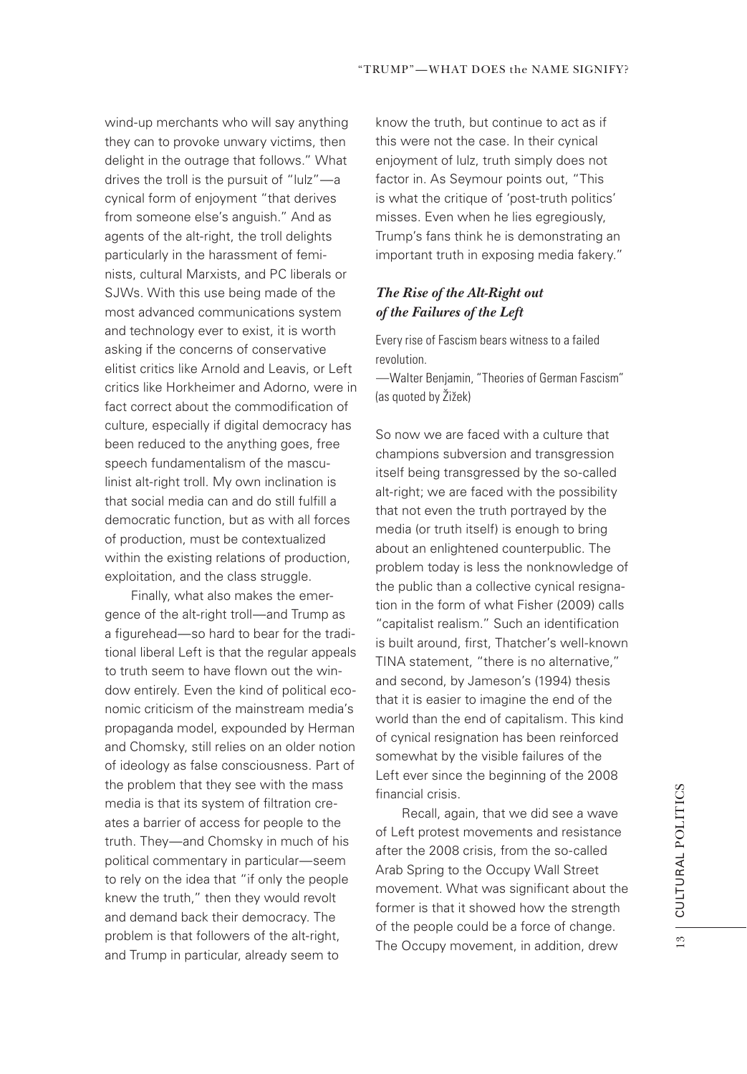wind-up merchants who will say anything they can to provoke unwary victims, then delight in the outrage that follows." What drives the troll is the pursuit of "lulz"—a cynical form of enjoyment "that derives from someone else's anguish." And as agents of the alt-right, the troll delights particularly in the harassment of feminists, cultural Marxists, and PC liberals or SJWs. With this use being made of the most advanced communications system and technology ever to exist, it is worth asking if the concerns of conservative elitist critics like Arnold and Leavis, or Left critics like Horkheimer and Adorno, were in fact correct about the commodification of culture, especially if digital democracy has been reduced to the anything goes, free speech fundamentalism of the masculinist alt-right troll. My own inclination is that social media can and do still fulfill a democratic function, but as with all forces of production, must be contextualized within the existing relations of production, exploitation, and the class struggle.

Finally, what also makes the emergence of the alt-right troll—and Trump as a figurehead—so hard to bear for the traditional liberal Left is that the regular appeals to truth seem to have flown out the window entirely. Even the kind of political economic criticism of the mainstream media's propaganda model, expounded by Herman and Chomsky, still relies on an older notion of ideology as false consciousness. Part of the problem that they see with the mass media is that its system of filtration creates a barrier of access for people to the truth. They—and Chomsky in much of his political commentary in particular—seem to rely on the idea that "if only the people knew the truth," then they would revolt and demand back their democracy. The problem is that followers of the alt-right, and Trump in particular, already seem to

know the truth, but continue to act as if this were not the case. In their cynical enjoyment of lulz, truth simply does not factor in. As Seymour points out, "This is what the critique of 'post-truth politics' misses. Even when he lies egregiously, Trump's fans think he is demonstrating an important truth in exposing media fakery."

#### *The Rise of the Alt-Right out of the Failures of the Left*

Every rise of Fascism bears witness to a failed revolution.

—Walter Benjamin, "Theories of German Fascism" (as quoted by Žižek)

So now we are faced with a culture that champions subversion and transgression itself being transgressed by the so-called alt-right; we are faced with the possibility that not even the truth portrayed by the media (or truth itself) is enough to bring about an enlightened counterpublic. The problem today is less the nonknowledge of the public than a collective cynical resignation in the form of what Fisher (2009) calls "capitalist realism." Such an identification is built around, first, Thatcher's well-known TINA statement, "there is no alternative," and second, by Jameson's (1994) thesis that it is easier to imagine the end of the world than the end of capitalism. This kind of cynical resignation has been reinforced somewhat by the visible failures of the Left ever since the beginning of the 2008 financial crisis.

Recall, again, that we did see a wave of Left protest movements and resistance after the 2008 crisis, from the so-called Arab Spring to the Occupy Wall Street movement. What was significant about the former is that it showed how the strength of the people could be a force of change. The Occupy movement, in addition, drew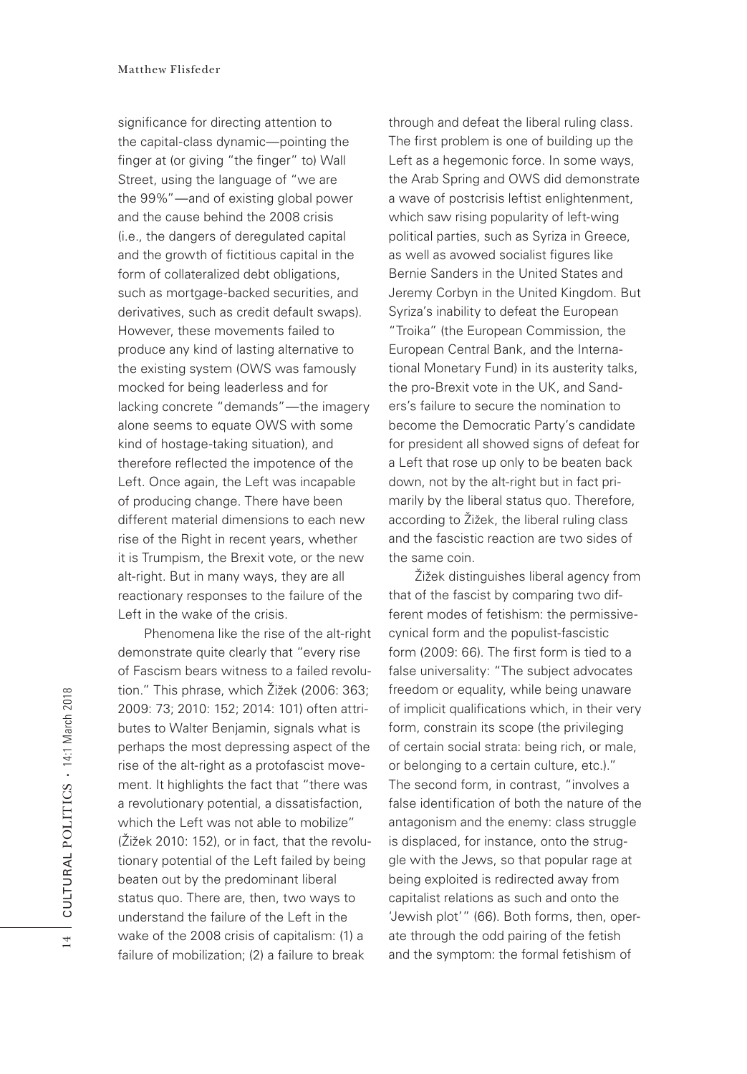significance for directing attention to the capital-class dynamic—pointing the finger at (or giving "the finger" to) Wall Street, using the language of "we are the 99%"—and of existing global power and the cause behind the 2008 crisis (i.e., the dangers of deregulated capital and the growth of fictitious capital in the form of collateralized debt obligations, such as mortgage-backed securities, and derivatives, such as credit default swaps). However, these movements failed to produce any kind of lasting alternative to the existing system (OWS was famously mocked for being leaderless and for lacking concrete "demands"—the imagery alone seems to equate OWS with some kind of hostage-taking situation), and therefore refected the impotence of the Left. Once again, the Left was incapable of producing change. There have been different material dimensions to each new rise of the Right in recent years, whether it is Trumpism, the Brexit vote, or the new alt-right. But in many ways, they are all reactionary responses to the failure of the Left in the wake of the crisis.

Phenomena like the rise of the alt-right demonstrate quite clearly that "every rise of Fascism bears witness to a failed revolution." This phrase, which Žižek (2006: 363; 2009: 73; 2010: 152; 2014: 101) often attributes to Walter Benjamin, signals what is perhaps the most depressing aspect of the rise of the alt-right as a protofascist movement. It highlights the fact that "there was a revolutionary potential, a dissatisfaction, which the Left was not able to mobilize" (Žižek 2010: 152), or in fact, that the revolutionary potential of the Left failed by being beaten out by the predominant liberal status quo. There are, then, two ways to understand the failure of the Left in the wake of the 2008 crisis of capitalism: (1) a failure of mobilization; (2) a failure to break

through and defeat the liberal ruling class. The first problem is one of building up the Left as a hegemonic force. In some ways, the Arab Spring and OWS did demonstrate a wave of postcrisis leftist enlightenment, which saw rising popularity of left-wing political parties, such as Syriza in Greece, as well as avowed socialist figures like Bernie Sanders in the United States and Jeremy Corbyn in the United Kingdom. But Syriza's inability to defeat the European "Troika" (the European Commission, the European Central Bank, and the International Monetary Fund) in its austerity talks, the pro-Brexit vote in the UK, and Sanders's failure to secure the nomination to become the Democratic Party's candidate for president all showed signs of defeat for a Left that rose up only to be beaten back down, not by the alt-right but in fact primarily by the liberal status quo. Therefore, according to Žižek, the liberal ruling class and the fascistic reaction are two sides of the same coin.

Žižek distinguishes liberal agency from that of the fascist by comparing two different modes of fetishism: the permissivecynical form and the populist-fascistic form (2009: 66). The first form is tied to a false universality: "The subject advocates freedom or equality, while being unaware of implicit qualifications which, in their very form, constrain its scope (the privileging of certain social strata: being rich, or male, or belonging to a certain culture, etc.)." The second form, in contrast, "involves a false identification of both the nature of the antagonism and the enemy: class struggle is displaced, for instance, onto the struggle with the Jews, so that popular rage at being exploited is redirected away from capitalist relations as such and onto the 'Jewish plot'" (66). Both forms, then, operate through the odd pairing of the fetish and the symptom: the formal fetishism of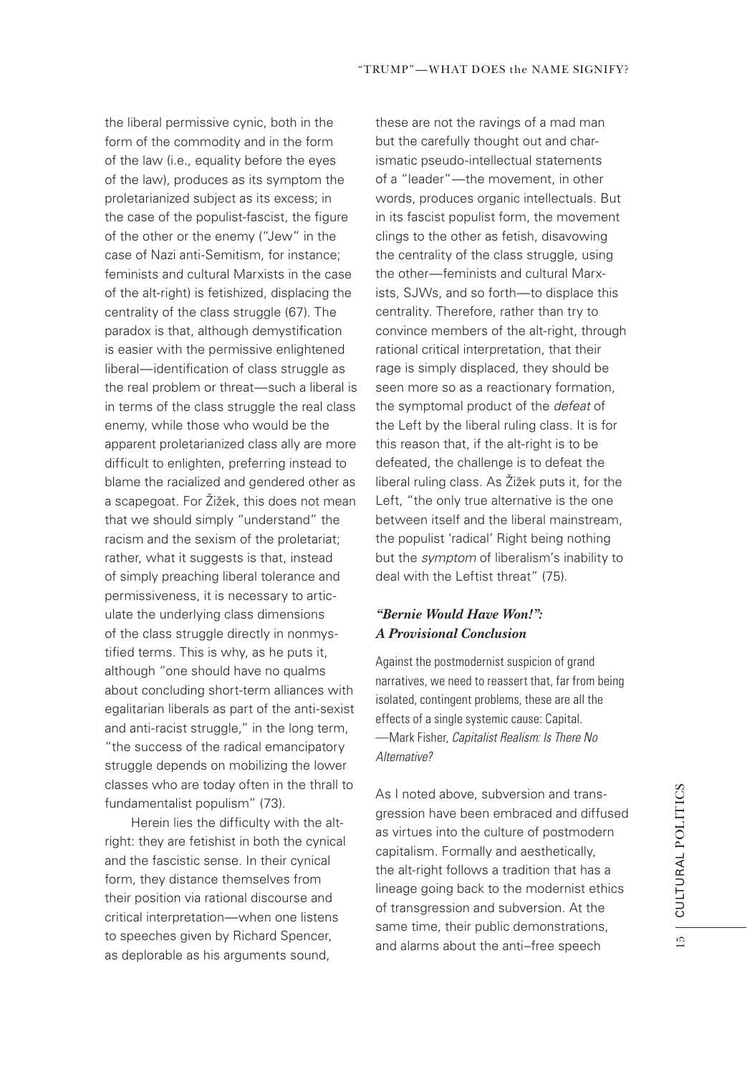the liberal permissive cynic, both in the form of the commodity and in the form of the law (i.e., equality before the eyes of the law), produces as its symptom the proletarianized subject as its excess; in the case of the populist-fascist, the figure of the other or the enemy ("Jew" in the case of Nazi anti-Semitism, for instance; feminists and cultural Marxists in the case of the alt-right) is fetishized, displacing the centrality of the class struggle (67). The paradox is that, although demystification is easier with the permissive enlightened liberal—identification of class struggle as the real problem or threat—such a liberal is in terms of the class struggle the real class enemy, while those who would be the apparent proletarianized class ally are more difficult to enlighten, preferring instead to blame the racialized and gendered other as a scapegoat. For Žižek, this does not mean that we should simply "understand" the racism and the sexism of the proletariat; rather, what it suggests is that, instead of simply preaching liberal tolerance and permissiveness, it is necessary to articulate the underlying class dimensions of the class struggle directly in nonmystifed terms. This is why, as he puts it, although "one should have no qualms about concluding short-term alliances with egalitarian liberals as part of the anti-sexist and anti-racist struggle," in the long term, "the success of the radical emancipatory struggle depends on mobilizing the lower classes who are today often in the thrall to fundamentalist populism" (73).

Herein lies the difficulty with the altright: they are fetishist in both the cynical and the fascistic sense. In their cynical form, they distance themselves from their position via rational discourse and critical interpretation—when one listens to speeches given by Richard Spencer, as deplorable as his arguments sound,

these are not the ravings of a mad man but the carefully thought out and charismatic pseudo-intellectual statements of a "leader"—the movement, in other words, produces organic intellectuals. But in its fascist populist form, the movement clings to the other as fetish, disavowing the centrality of the class struggle, using the other—feminists and cultural Marxists, SJWs, and so forth—to displace this centrality. Therefore, rather than try to convince members of the alt-right, through rational critical interpretation, that their rage is simply displaced, they should be seen more so as a reactionary formation, the symptomal product of the *defeat* of the Left by the liberal ruling class. It is for this reason that, if the alt-right is to be defeated, the challenge is to defeat the liberal ruling class. As Žižek puts it, for the Left, "the only true alternative is the one between itself and the liberal mainstream, the populist 'radical' Right being nothing but the *symptom* of liberalism's inability to deal with the Leftist threat" (75).

## *"Bernie Would Have Won!": A Provisional Conclusion*

Against the postmodernist suspicion of grand narratives, we need to reassert that, far from being isolated, contingent problems, these are all the effects of a single systemic cause: Capital. —Mark Fisher, *Capitalist Realism: Is There No Alternative?*

As I noted above, subversion and transgression have been embraced and diffused as virtues into the culture of postmodern capitalism. Formally and aesthetically, the alt-right follows a tradition that has a lineage going back to the modernist ethics of transgression and subversion. At the same time, their public demonstrations, and alarms about the anti–free speech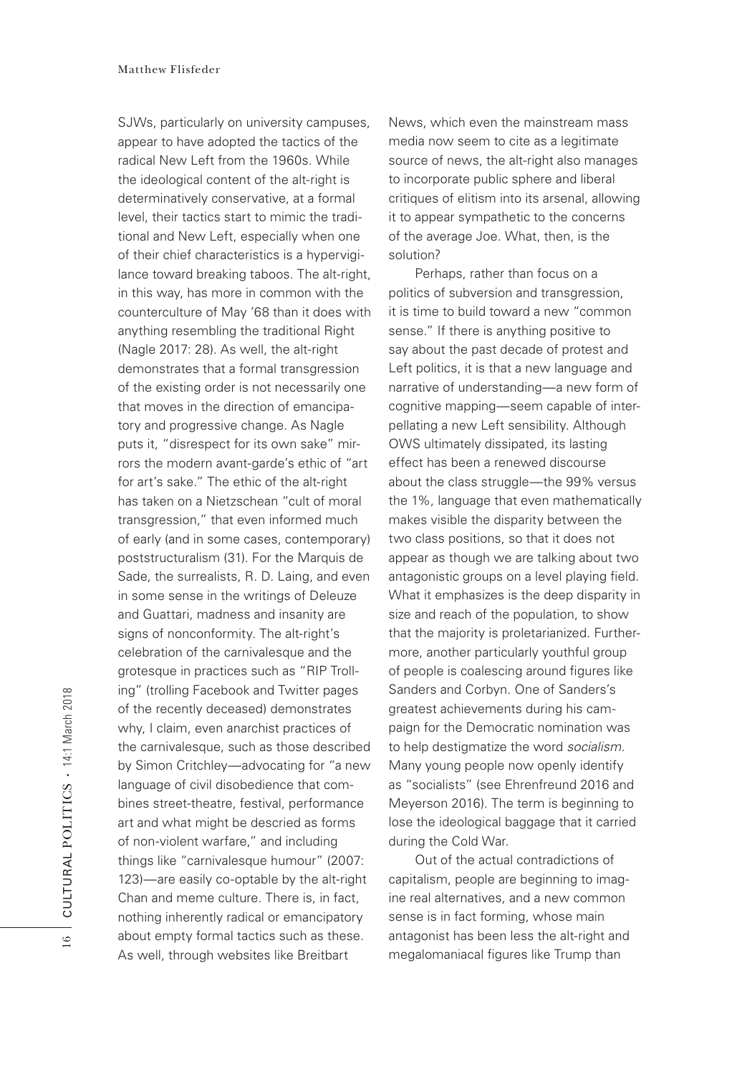SJWs, particularly on university campuses, appear to have adopted the tactics of the radical New Left from the 1960s. While the ideological content of the alt-right is determinatively conservative, at a formal level, their tactics start to mimic the traditional and New Left, especially when one of their chief characteristics is a hypervigilance toward breaking taboos. The alt-right, in this way, has more in common with the counterculture of May '68 than it does with anything resembling the traditional Right (Nagle 2017: 28). As well, the alt-right demonstrates that a formal transgression of the existing order is not necessarily one that moves in the direction of emancipatory and progressive change. As Nagle puts it, "disrespect for its own sake" mirrors the modern avant-garde's ethic of "art for art's sake." The ethic of the alt-right has taken on a Nietzschean "cult of moral transgression," that even informed much of early (and in some cases, contemporary) poststructuralism (31). For the Marquis de Sade, the surrealists, R. D. Laing, and even in some sense in the writings of Deleuze and Guattari, madness and insanity are signs of nonconformity. The alt-right's celebration of the carnivalesque and the grotesque in practices such as "RIP Trolling" (trolling Facebook and Twitter pages of the recently deceased) demonstrates why, I claim, even anarchist practices of the carnivalesque, such as those described by Simon Critchley—advocating for "a new language of civil disobedience that combines street-theatre, festival, performance art and what might be descried as forms of non-violent warfare," and including things like "carnivalesque humour" (2007: 123)—are easily co-optable by the alt-right Chan and meme culture. There is, in fact, nothing inherently radical or emancipatory about empty formal tactics such as these. As well, through websites like Breitbart

News, which even the mainstream mass media now seem to cite as a legitimate source of news, the alt-right also manages to incorporate public sphere and liberal critiques of elitism into its arsenal, allowing it to appear sympathetic to the concerns of the average Joe. What, then, is the solution?

Perhaps, rather than focus on a politics of subversion and transgression, it is time to build toward a new "common sense." If there is anything positive to say about the past decade of protest and Left politics, it is that a new language and narrative of understanding—a new form of cognitive mapping—seem capable of interpellating a new Left sensibility. Although OWS ultimately dissipated, its lasting effect has been a renewed discourse about the class struggle—the 99% versus the 1%, language that even mathematically makes visible the disparity between the two class positions, so that it does not appear as though we are talking about two antagonistic groups on a level playing field. What it emphasizes is the deep disparity in size and reach of the population, to show that the majority is proletarianized. Furthermore, another particularly youthful group of people is coalescing around figures like Sanders and Corbyn. One of Sanders's greatest achievements during his campaign for the Democratic nomination was to help destigmatize the word *socialism*. Many young people now openly identify as "socialists" (see Ehrenfreund 2016 and Meyerson 2016). The term is beginning to lose the ideological baggage that it carried during the Cold War.

Out of the actual contradictions of capitalism, people are beginning to imagine real alternatives, and a new common sense is in fact forming, whose main antagonist has been less the alt-right and megalomaniacal figures like Trump than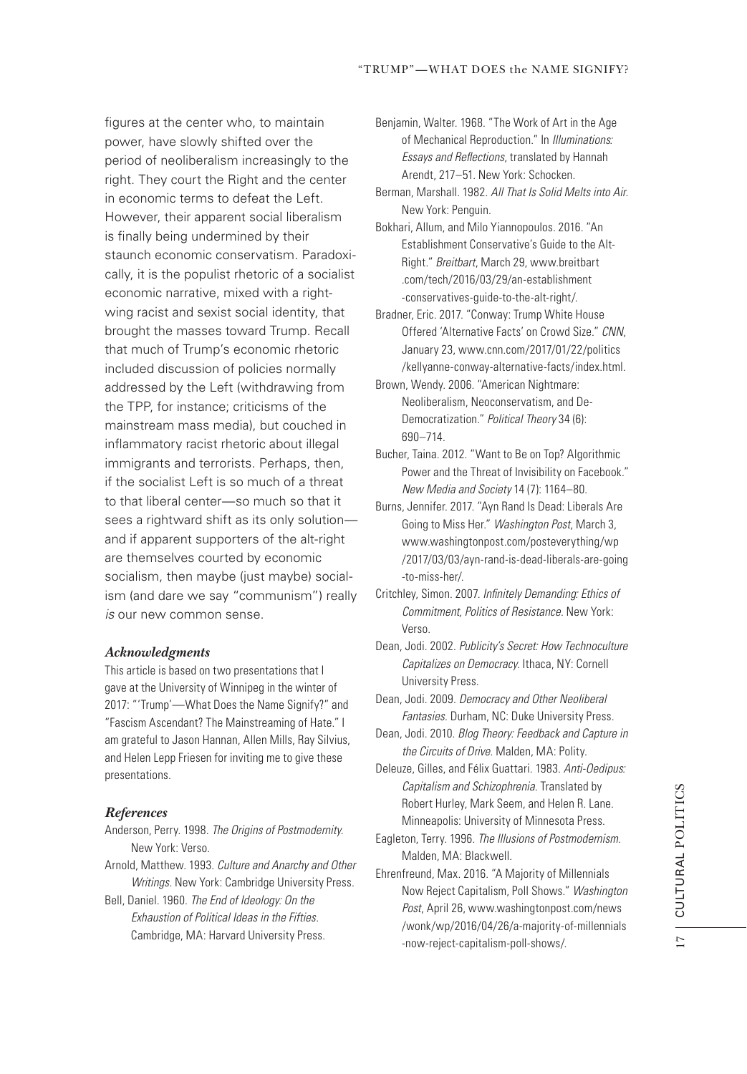figures at the center who, to maintain power, have slowly shifted over the period of neoliberalism increasingly to the right. They court the Right and the center in economic terms to defeat the Left. However, their apparent social liberalism is finally being undermined by their staunch economic conservatism. Paradoxically, it is the populist rhetoric of a socialist economic narrative, mixed with a rightwing racist and sexist social identity, that brought the masses toward Trump. Recall that much of Trump's economic rhetoric included discussion of policies normally addressed by the Left (withdrawing from the TPP, for instance; criticisms of the mainstream mass media), but couched in inflammatory racist rhetoric about illegal immigrants and terrorists. Perhaps, then, if the socialist Left is so much of a threat to that liberal center—so much so that it sees a rightward shift as its only solution and if apparent supporters of the alt-right are themselves courted by economic socialism, then maybe (just maybe) socialism (and dare we say "communism") really *is* our new common sense.

#### *Acknowledgments*

This article is based on two presentations that I gave at the University of Winnipeg in the winter of 2017: "'Trump'—What Does the Name Signify?" and "Fascism Ascendant? The Mainstreaming of Hate." I am grateful to Jason Hannan, Allen Mills, Ray Silvius, and Helen Lepp Friesen for inviting me to give these presentations.

#### *References*

- Anderson, Perry. 1998. *The Origins of Postmodernity*. New York: Verso.
- Arnold, Matthew. 1993. *Culture and Anarchy and Other Writings*. New York: Cambridge University Press.
- Bell, Daniel. 1960. *The End of Ideology: On the Exhaustion of Political Ideas in the Fifties*. Cambridge, MA: Harvard University Press.

Benjamin, Walter. 1968. "The Work of Art in the Age of Mechanical Reproduction." In *Illuminations: Essays and Re*f*ections*, translated by Hannah Arendt, 217–51. New York: Schocken.

- Berman, Marshall. 1982. *All That Is Solid Melts into Air*. New York: Penguin.
- Bokhari, Allum, and Milo Yiannopoulos. 2016. "An Establishment Conservative's Guide to the Alt-Right." *Breitbart*, March 29, www.breitbart .com/tech/2016/03/29/an-establishment -conservatives-guide-to-the-alt-right/.
- Bradner, Eric. 2017. "Conway: Trump White House Offered 'Alternative Facts' on Crowd Size." *CNN*, January 23, www.cnn.com/2017/01/22/politics /kellyanne-conway-alternative-facts/index.html.
- Brown, Wendy. 2006. "American Nightmare: Neoliberalism, Neoconservatism, and De-Democratization." *Political Theory* 34 (6): 690–714.
- Bucher, Taina. 2012. "Want to Be on Top? Algorithmic Power and the Threat of Invisibility on Facebook." *New Media and Society* 14 (7): 1164–80.
- Burns, Jennifer. 2017. "Ayn Rand Is Dead: Liberals Are Going to Miss Her." *Washington Post*, March 3, www.washingtonpost.com/posteverything/wp /2017/03/03/ayn-rand-is-dead-liberals-are-going -to-miss-her/.
- Critchley, Simon. 2007. *In*f*nitely Demanding: Ethics of Commitment, Politics of Resistance*. New York: Verso.
- Dean, Jodi. 2002. *Publicity's Secret: How Technoculture Capitalizes on Democracy*. Ithaca, NY: Cornell University Press.
- Dean, Jodi. 2009. *Democracy and Other Neoliberal Fantasies*. Durham, NC: Duke University Press.
- Dean, Jodi. 2010. *Blog Theory: Feedback and Capture in the Circuits of Drive*. Malden, MA: Polity.
- Deleuze, Gilles, and Félix Guattari. 1983. *Anti-Oedipus: Capitalism and Schizophrenia*. Translated by Robert Hurley, Mark Seem, and Helen R. Lane. Minneapolis: University of Minnesota Press.
- Eagleton, Terry. 1996. *The Illusions of Postmodernism*. Malden, MA: Blackwell.
- Ehrenfreund, Max. 2016. "A Majority of Millennials Now Reject Capitalism, Poll Shows." *Washington Post*, April 26, www.washingtonpost.com/news /wonk/wp/2016/04/26/a-majority-of-millennials -now-reject-capitalism-poll-shows/.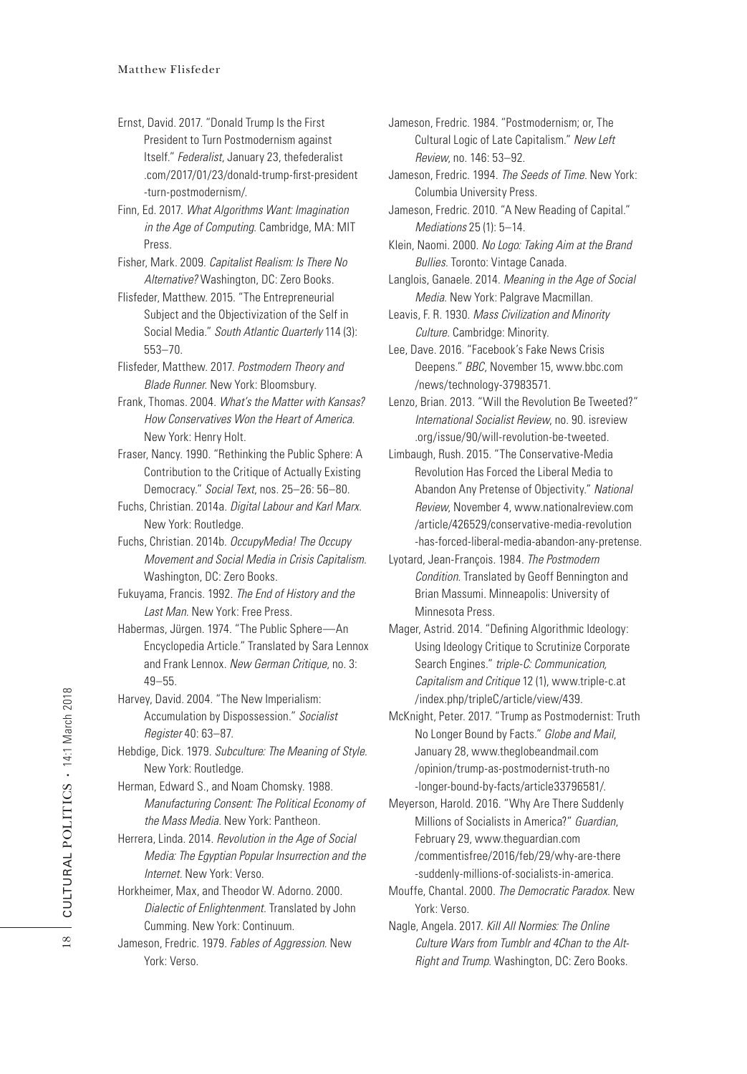- Ernst, David. 2017. "Donald Trump Is the First President to Turn Postmodernism against Itself." *Federalist*, January 23, thefederalist .com/2017/01/23/donald-trump-frst-president -turn-postmodernism/.
- Finn, Ed. 2017. *What Algorithms Want: Imagination in the Age of Computing*. Cambridge, MA: MIT Press.
- Fisher, Mark. 2009. *Capitalist Realism: Is There No Alternative?* Washington, DC: Zero Books.
- Flisfeder, Matthew. 2015. "The Entrepreneurial Subject and the Objectivization of the Self in Social Media." *South Atlantic Quarterly* 114 (3): 553–70.
- Flisfeder, Matthew. 2017. *Postmodern Theory and Blade Runner*. New York: Bloomsbury.
- Frank, Thomas. 2004. *What's the Matter with Kansas? How Conservatives Won the Heart of America*. New York: Henry Holt.
- Fraser, Nancy. 1990. "Rethinking the Public Sphere: A Contribution to the Critique of Actually Existing Democracy." *Social Text*, nos. 25–26: 56–80.
- Fuchs, Christian. 2014a. *Digital Labour and Karl Marx*. New York: Routledge.
- Fuchs, Christian. 2014b. *OccupyMedia! The Occupy Movement and Social Media in Crisis Capitalism*. Washington, DC: Zero Books.
- Fukuyama, Francis. 1992. *The End of History and the Last Man*. New York: Free Press.
- Habermas, Jürgen. 1974. "The Public Sphere—An Encyclopedia Article." Translated by Sara Lennox and Frank Lennox. *New German Critique*, no. 3: 49–55.
- Harvey, David. 2004. "The New Imperialism: Accumulation by Dispossession." *Socialist Register* 40: 63–87.
- Hebdige, Dick. 1979. *Subculture: The Meaning of Style*. New York: Routledge.
- Herman, Edward S., and Noam Chomsky. 1988. *Manufacturing Consent: The Political Economy of the Mass Media*. New York: Pantheon.
- Herrera, Linda. 2014. *Revolution in the Age of Social Media: The Egyptian Popular Insurrection and the Internet*. New York: Verso.
- Horkheimer, Max, and Theodor W. Adorno. 2000. *Dialectic of Enlightenment*. Translated by John Cumming. New York: Continuum.
- Jameson, Fredric. 1979. *Fables of Aggression*. New York: Verso.
- Jameson, Fredric. 1984. "Postmodernism; or, The Cultural Logic of Late Capitalism." *New Left Review*, no. 146: 53–92.
- Jameson, Fredric. 1994. *The Seeds of Time*. New York: Columbia University Press.
- Jameson, Fredric. 2010. "A New Reading of Capital." *Mediations* 25 (1): 5–14.
- Klein, Naomi. 2000. *No Logo: Taking Aim at the Brand Bullies*. Toronto: Vintage Canada.
- Langlois, Ganaele. 2014. *Meaning in the Age of Social Media*. New York: Palgrave Macmillan.

Leavis, F. R. 1930. *Mass Civilization and Minority Culture*. Cambridge: Minority.

- Lee, Dave. 2016. "Facebook's Fake News Crisis Deepens." *BBC*, November 15, www.bbc.com /news/technology-37983571.
- Lenzo, Brian. 2013. "Will the Revolution Be Tweeted?" *International Socialist Review*, no. 90. isreview .org/issue/90/will-revolution-be-tweeted.
- Limbaugh, Rush. 2015. "The Conservative-Media Revolution Has Forced the Liberal Media to Abandon Any Pretense of Objectivity." *National Review*, November 4, www.nationalreview.com /article/426529/conservative-media-revolution -has-forced-liberal-media-abandon-any-pretense.
- Lyotard, Jean-François. 1984. *The Postmodern Condition*. Translated by Geoff Bennington and Brian Massumi. Minneapolis: University of Minnesota Press.
- Mager, Astrid. 2014. "Defning Algorithmic Ideology: Using Ideology Critique to Scrutinize Corporate Search Engines." *triple-C: Communication, Capitalism and Critique* 12 (1), www.triple-c.at /index.php/tripleC/article/view/439.
- McKnight, Peter. 2017. "Trump as Postmodernist: Truth No Longer Bound by Facts." *Globe and Mail*, January 28, www.theglobeandmail.com /opinion/trump-as-postmodernist-truth-no -longer-bound-by-facts/article33796581/.
- Meyerson, Harold. 2016. "Why Are There Suddenly Millions of Socialists in America?" *Guardian*, February 29, www.theguardian.com /commentisfree/2016/feb/29/why-are-there -suddenly-millions-of-socialists-in-america.
- Mouffe, Chantal. 2000. *The Democratic Paradox*. New York: Verso.
- Nagle, Angela. 2017. *Kill All Normies: The Online Culture Wars from Tumblr and 4Chan to the Alt-Right and Trump*. Washington, DC: Zero Books.